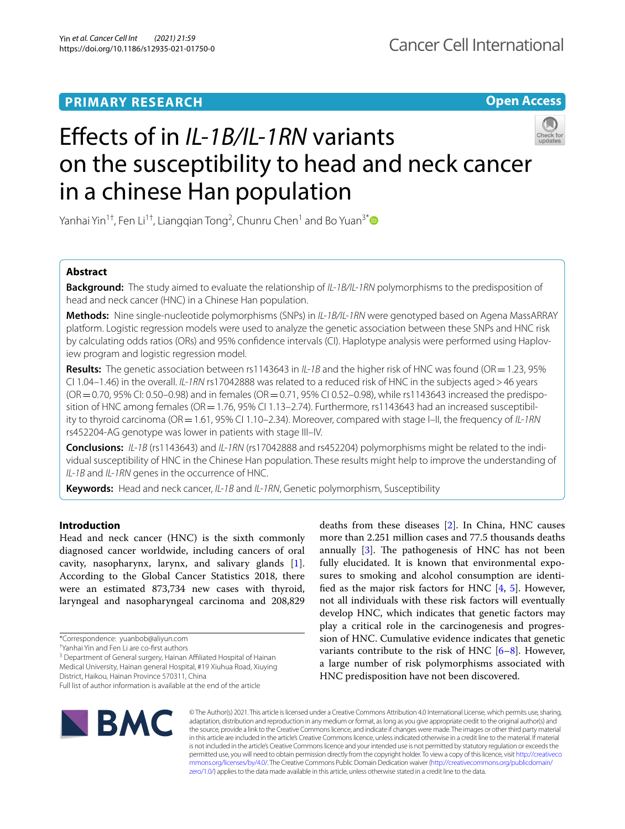## **PRIMARY RESEARCH**

**Open Access**

# Efects of in *IL‑1B/IL‑1RN* variants on the susceptibility to head and neck cancer in a chinese Han population

Yanhai Yin<sup>1†</sup>, Fen Li<sup>1†</sup>, Liangqian Tong<sup>2</sup>, Chunru Chen<sup>1</sup> and Bo Yuan<sup>3[\\*](http://orcid.org/0000-0003-4047-5556)</sup>

## **Abstract**

**Background:** The study aimed to evaluate the relationship of *IL-1B/IL-1RN* polymorphisms to the predisposition of head and neck cancer (HNC) in a Chinese Han population.

**Methods:** Nine single-nucleotide polymorphisms (SNPs) in *IL-1B/IL-1RN* were genotyped based on Agena MassARRAY platform. Logistic regression models were used to analyze the genetic association between these SNPs and HNC risk by calculating odds ratios (ORs) and 95% confdence intervals (CI). Haplotype analysis were performed using Haploview program and logistic regression model.

**Results:** The genetic association between rs1143643 in *IL-1B* and the higher risk of HNC was found (OR=1.23, 95% CI 1.04–1.46) in the overall. *IL-1RN* rs17042888 was related to a reduced risk of HNC in the subjects aged>46 years (OR=0.70, 95% CI: 0.50–0.98) and in females (OR=0.71, 95% CI 0.52–0.98), while rs1143643 increased the predisposition of HNC among females (OR = 1.76, 95% CI 1.13–2.74). Furthermore, rs1143643 had an increased susceptibility to thyroid carcinoma (OR=1.61, 95% CI 1.10–2.34). Moreover, compared with stage I–II, the frequency of *IL-1RN* rs452204-AG genotype was lower in patients with stage III–IV.

**Conclusions:** *IL-1B* (rs1143643) and *IL-1RN* (rs17042888 and rs452204) polymorphisms might be related to the individual susceptibility of HNC in the Chinese Han population. These results might help to improve the understanding of *IL-1B* and *IL-1RN* genes in the occurrence of HNC.

**Keywords:** Head and neck cancer, *IL-1B* and *IL-1RN*, Genetic polymorphism, Susceptibility

## **Introduction**

Head and neck cancer (HNC) is the sixth commonly diagnosed cancer worldwide, including cancers of oral cavity, nasopharynx, larynx, and salivary glands [\[1](#page-7-0)]. According to the Global Cancer Statistics 2018, there were an estimated 873,734 new cases with thyroid, laryngeal and nasopharyngeal carcinoma and 208,829

<sup>3</sup> Department of General surgery, Hainan Affiliated Hospital of Hainan Medical University, Hainan general Hospital, #19 Xiuhua Road, Xiuying District, Haikou, Hainan Province 570311, China

deaths from these diseases [\[2](#page-7-1)]. In China, HNC causes more than 2.251 million cases and 77.5 thousands deaths annually  $[3]$  $[3]$ . The pathogenesis of HNC has not been fully elucidated. It is known that environmental exposures to smoking and alcohol consumption are identified as the major risk factors for HNC  $[4, 5]$  $[4, 5]$  $[4, 5]$ . However, not all individuals with these risk factors will eventually develop HNC, which indicates that genetic factors may play a critical role in the carcinogenesis and progression of HNC. Cumulative evidence indicates that genetic variants contribute to the risk of HNC  $[6-8]$  $[6-8]$ . However, a large number of risk polymorphisms associated with HNC predisposition have not been discovered.



© The Author(s) 2021. This article is licensed under a Creative Commons Attribution 4.0 International License, which permits use, sharing, adaptation, distribution and reproduction in any medium or format, as long as you give appropriate credit to the original author(s) and the source, provide a link to the Creative Commons licence, and indicate if changes were made. The images or other third party material in this article are included in the article's Creative Commons licence, unless indicated otherwise in a credit line to the material. If material is not included in the article's Creative Commons licence and your intended use is not permitted by statutory regulation or exceeds the permitted use, you will need to obtain permission directly from the copyright holder. To view a copy of this licence, visit [http://creativeco](http://creativecommons.org/licenses/by/4.0/) [mmons.org/licenses/by/4.0/.](http://creativecommons.org/licenses/by/4.0/) The Creative Commons Public Domain Dedication waiver ([http://creativecommons.org/publicdomain/](http://creativecommons.org/publicdomain/zero/1.0/) [zero/1.0/\)](http://creativecommons.org/publicdomain/zero/1.0/) applies to the data made available in this article, unless otherwise stated in a credit line to the data.

<sup>\*</sup>Correspondence: yuanbob@aliyun.com

<sup>†</sup> Yanhai Yin and Fen Li are co-frst authors

Full list of author information is available at the end of the article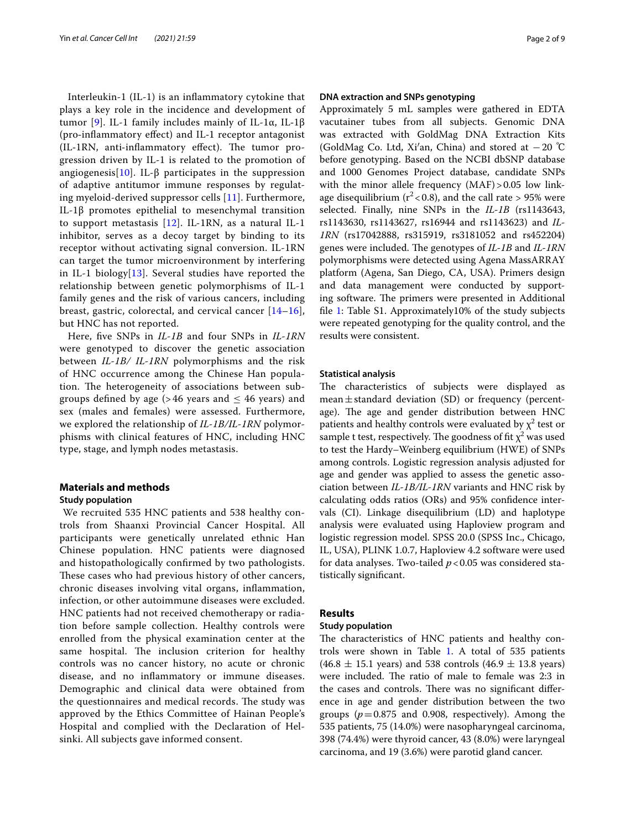Interleukin-1 (IL-1) is an infammatory cytokine that plays a key role in the incidence and development of tumor [[9\]](#page-8-5). IL-1 family includes mainly of IL-1α, IL-1β (pro‐infammatory efect) and IL‐1 receptor antagonist (IL-1RN, anti-inflammatory effect). The tumor progression driven by IL-1 is related to the promotion of angiogenesis[[10\]](#page-8-6). IL- $\beta$  participates in the suppression of adaptive antitumor immune responses by regulating myeloid-derived suppressor cells [[11](#page-8-7)]. Furthermore, IL-1β promotes epithelial to mesenchymal transition to support metastasis [\[12\]](#page-8-8). IL‐1RN, as a natural IL-1 inhibitor, serves as a decoy target by binding to its receptor without activating signal conversion. IL-1RN can target the tumor microenvironment by interfering in IL-1 biology[\[13](#page-8-9)]. Several studies have reported the relationship between genetic polymorphisms of IL-1 family genes and the risk of various cancers, including breast, gastric, colorectal, and cervical cancer [[14–](#page-8-10)[16\]](#page-8-11), but HNC has not reported.

Here, fve SNPs in *IL-1B* and four SNPs in *IL-1RN* were genotyped to discover the genetic association between *IL-1B/ IL-1RN* polymorphisms and the risk of HNC occurrence among the Chinese Han population. The heterogeneity of associations between subgroups defined by age (> 46 years and  $\leq$  46 years) and sex (males and females) were assessed. Furthermore, we explored the relationship of *IL-1B/IL-1RN* polymorphisms with clinical features of HNC, including HNC type, stage, and lymph nodes metastasis.

#### **Materials and methods**

#### **Study population**

 We recruited 535 HNC patients and 538 healthy controls from Shaanxi Provincial Cancer Hospital. All participants were genetically unrelated ethnic Han Chinese population. HNC patients were diagnosed and histopathologically confrmed by two pathologists. These cases who had previous history of other cancers, chronic diseases involving vital organs, infammation, infection, or other autoimmune diseases were excluded. HNC patients had not received chemotherapy or radiation before sample collection. Healthy controls were enrolled from the physical examination center at the same hospital. The inclusion criterion for healthy controls was no cancer history, no acute or chronic disease, and no infammatory or immune diseases. Demographic and clinical data were obtained from the questionnaires and medical records. The study was approved by the Ethics Committee of Hainan People's Hospital and complied with the Declaration of Helsinki. All subjects gave informed consent.

#### **DNA extraction and SNPs genotyping**

Approximately 5 mL samples were gathered in EDTA vacutainer tubes from all subjects. Genomic DNA was extracted with GoldMag DNA Extraction Kits (GoldMag Co. Ltd, Xi′an, China) and stored at −20 ℃ before genotyping. Based on the NCBI dbSNP database and 1000 Genomes Project database, candidate SNPs with the minor allele frequency  $(MAF) > 0.05$  low linkage disequilibrium ( $r^2$  < 0.8), and the call rate > 95% were selected. Finally, nine SNPs in the *IL-1B* (rs1143643, rs1143630, rs1143627, rs16944 and rs1143623) and *IL-1RN* (rs17042888, rs315919, rs3181052 and rs452204) genes were included. The genotypes of *IL-1B* and *IL-1RN* polymorphisms were detected using Agena MassARRAY platform (Agena, San Diego, CA, USA). Primers design and data management were conducted by supporting software. The primers were presented in Additional fle [1](#page-7-2): Table S1. Approximately10% of the study subjects were repeated genotyping for the quality control, and the results were consistent.

#### **Statistical analysis**

The characteristics of subjects were displayed as mean $\pm$ standard deviation (SD) or frequency (percentage). The age and gender distribution between HNC patients and healthy controls were evaluated by  $\chi^2$  test or sample t test, respectively. The goodness of fit  $\chi^2$  was used to test the Hardy–Weinberg equilibrium (HWE) of SNPs among controls. Logistic regression analysis adjusted for age and gender was applied to assess the genetic association between *IL-1B/IL-1RN* variants and HNC risk by calculating odds ratios (ORs) and 95% confdence intervals (CI). Linkage disequilibrium (LD) and haplotype analysis were evaluated using Haploview program and logistic regression model. SPSS 20.0 (SPSS Inc., Chicago, IL, USA), PLINK 1.0.7, Haploview 4.2 software were used for data analyses. Two-tailed *p*<0.05 was considered statistically signifcant.

#### **Results**

#### **Study population**

The characteristics of HNC patients and healthy controls were shown in Table [1](#page-2-0). A total of 535 patients  $(46.8 \pm 15.1 \text{ years})$  and 538 controls  $(46.9 \pm 13.8 \text{ years})$ were included. The ratio of male to female was 2:3 in the cases and controls. There was no significant difference in age and gender distribution between the two groups  $(p=0.875$  and 0.908, respectively). Among the 535 patients, 75 (14.0%) were nasopharyngeal carcinoma, 398 (74.4%) were thyroid cancer, 43 (8.0%) were laryngeal carcinoma, and 19 (3.6%) were parotid gland cancer.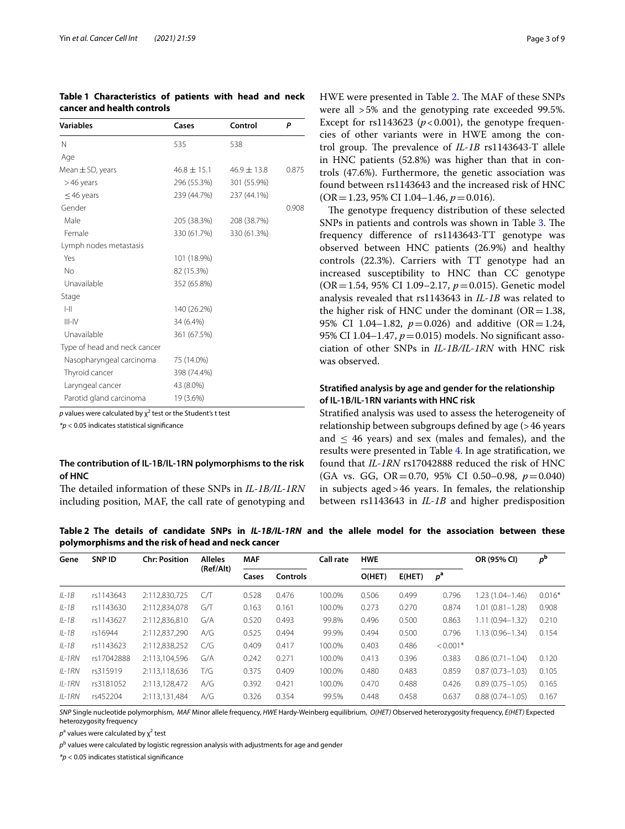| Variables                    | Cases           | Control         | P     |
|------------------------------|-----------------|-----------------|-------|
| N                            | 535             | 538             |       |
| Age                          |                 |                 |       |
| Mean $\pm$ SD, years         | $46.8 \pm 15.1$ | $46.9 \pm 13.8$ | 0.875 |
| >46 years                    | 296 (55.3%)     | 301 (55.9%)     |       |
| $\leq$ 46 years              | 239 (44.7%)     | 237 (44.1%)     |       |
| Gender                       |                 |                 | 0.908 |
| Male                         | 205 (38.3%)     | 208 (38.7%)     |       |
| Female                       | 330 (61.7%)     | 330 (61.3%)     |       |
| Lymph nodes metastasis       |                 |                 |       |
| Yes                          | 101 (18.9%)     |                 |       |
| No                           | 82 (15.3%)      |                 |       |
| Unavailable                  | 352 (65.8%)     |                 |       |
| Stage                        |                 |                 |       |
| $ -  $                       | 140 (26.2%)     |                 |       |
| $III$ -IV                    | 34 (6.4%)       |                 |       |
| Unavailable                  | 361 (67.5%)     |                 |       |
| Type of head and neck cancer |                 |                 |       |
| Nasopharyngeal carcinoma     | 75 (14.0%)      |                 |       |
| Thyroid cancer               | 398 (74.4%)     |                 |       |
| Laryngeal cancer             | 43 (8.0%)       |                 |       |
| Parotid gland carcinoma      | 19 (3.6%)       |                 |       |

<span id="page-2-0"></span>**Table 1 Characteristics of patients with head and neck cancer and health controls**

 $p$  values were calculated by  $\chi^2$  test or the Student's t test

*\*p* < 0.05 indicates statistical signifcance

## **The contribution of IL‑1B/IL‑1RN polymorphisms to the risk of HNC**

The detailed information of these SNPs in *IL-1B/IL-1RN* including position, MAF, the call rate of genotyping and HWE were presented in Table [2.](#page-2-1) The MAF of these SNPs were all >5% and the genotyping rate exceeded 99.5%. Except for  $rs1143623$  ( $p < 0.001$ ), the genotype frequencies of other variants were in HWE among the control group. The prevalence of *IL-1B* rs1143643-T allele in HNC patients (52.8%) was higher than that in controls (47.6%). Furthermore, the genetic association was found between rs1143643 and the increased risk of HNC (OR=1.23, 95% CI 1.04–1.46, *p*=0.016).

The genotype frequency distribution of these selected SNPs in patients and controls was shown in Table [3](#page-3-0). The frequency diference of rs1143643-TT genotype was observed between HNC patients (26.9%) and healthy controls (22.3%). Carriers with TT genotype had an increased susceptibility to HNC than CC genotype (OR=1.54, 95% CI 1.09–2.17, *p*=0.015). Genetic model analysis revealed that rs1143643 in *IL-1B* was related to the higher risk of HNC under the dominant ( $OR = 1.38$ , 95% CI 1.04–1.82,  $p = 0.026$ ) and additive (OR=1.24, 95% CI 1.04–1.47, *p*=0.015) models. No signifcant association of other SNPs in *IL-1B/IL-1RN* with HNC risk was observed.

## **Stratifed analysis by age and gender for the relationship of IL‑1B/IL‑1RN variants with HNC risk**

Stratifed analysis was used to assess the heterogeneity of relationship between subgroups defned by age (>46 years and  $\leq$  46 years) and sex (males and females), and the results were presented in Table [4.](#page-5-0) In age stratifcation, we found that *IL-1RN* rs17042888 reduced the risk of HNC (GA vs. GG, OR=0.70, 95% CI 0.50–0.98, *p*=0.040) in subjects aged>46 years. In females, the relationship between rs1143643 in *IL-1B* and higher predisposition

<span id="page-2-1"></span>**Table 2 The details of candidate SNPs in**  *IL-1B/IL-1RN* **and the allele model for the association between these polymorphisms and the risk of head and neck cancer**

| Gene     | SNP ID     | <b>Chr: Position</b> | <b>Alleles</b> | <b>MAF</b> |                 | Call rate | <b>HWE</b> |        |                  | OR (95% CI)         | $p^{\rm b}$ |
|----------|------------|----------------------|----------------|------------|-----------------|-----------|------------|--------|------------------|---------------------|-------------|
|          |            |                      | (Ref/Alt)      | Cases      | <b>Controls</b> |           | O(HET)     | E(HET) | $p^{\mathsf{a}}$ |                     |             |
| $IL-1B$  | rs1143643  | 2:112,830,725        | CЛ             | 0.528      | 0.476           | 100.0%    | 0.506      | 0.499  | 0.796            | $1.23(1.04 - 1.46)$ | $0.016*$    |
| $IL-1B$  | rs1143630  | 2:112,834,078        | GЛ             | 0.163      | 0.161           | 100.0%    | 0.273      | 0.270  | 0.874            | $1.01(0.81 - 1.28)$ | 0.908       |
| $IL-1B$  | rs1143627  | 2:112,836,810        | G/A            | 0.520      | 0.493           | 99.8%     | 0.496      | 0.500  | 0.863            | $1.11(0.94 - 1.32)$ | 0.210       |
| $IL-1B$  | rs16944    | 2:112,837,290        | A/G            | 0.525      | 0.494           | 99.9%     | 0.494      | 0.500  | 0.796            | $1.13(0.96 - 1.34)$ | 0.154       |
| $IL-1B$  | rs1143623  | 2:112,838,252        | C/G            | 0.409      | 0.417           | 100.0%    | 0.403      | 0.486  | $< 0.001*$       |                     |             |
| $IL-1RN$ | rs17042888 | 2:113,104,596        | G/A            | 0.242      | 0.271           | 100.0%    | 0.413      | 0.396  | 0.383            | $0.86(0.71 - 1.04)$ | 0.120       |
| $IL-1RN$ | rs315919   | 2:113,118,636        | T/G            | 0.375      | 0.409           | 100.0%    | 0.480      | 0.483  | 0.859            | $0.87(0.73 - 1.03)$ | 0.105       |
| $IL-1RN$ | rs3181052  | 2:113,128,472        | A/G            | 0.392      | 0.421           | 100.0%    | 0.470      | 0.488  | 0.426            | $0.89(0.75 - 1.05)$ | 0.165       |
| $IL-1RN$ | rs452204   | 2:113.131.484        | A/G            | 0.326      | 0.354           | 99.5%     | 0.448      | 0.458  | 0.637            | $0.88(0.74 - 1.05)$ | 0.167       |
|          |            |                      |                |            |                 |           |            |        |                  |                     |             |

*SNP* Single nucleotide polymorphism, *MAF* Minor allele frequency, *HWE* Hardy-Weinberg equilibrium, *O(HET)* Observed heterozygosity frequency, *E(HET)* Expected heterozygosity frequency

*p*<sup>a</sup> values were calculated by χ<sup>2</sup> test

*p*b values were calculated by logistic regression analysis with adjustments for age and gender

*\*p* < 0.05 indicates statistical signifcance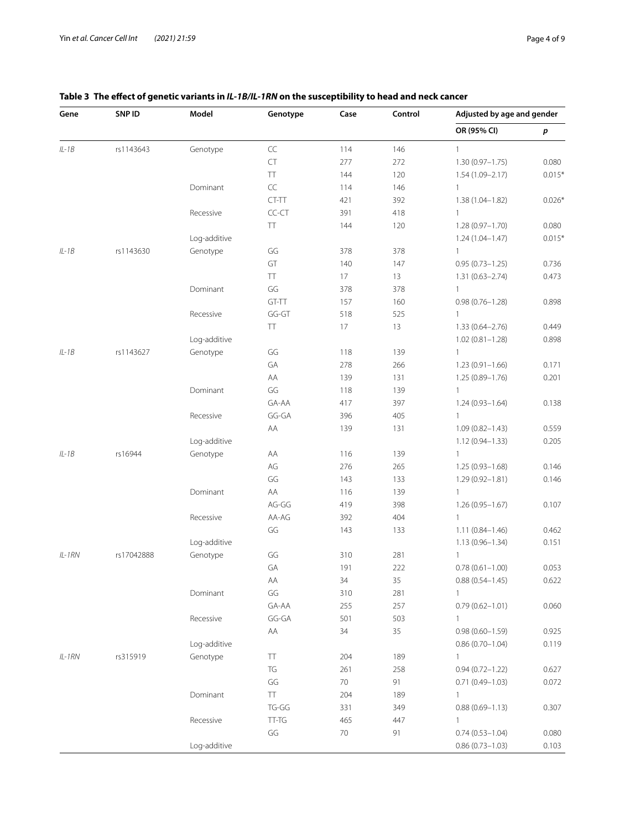| Gene     | SNP ID     | Model        | Genotype      | Case | Control | Adjusted by age and gender |          |  |
|----------|------------|--------------|---------------|------|---------|----------------------------|----------|--|
|          |            |              |               |      |         | OR (95% CI)                | р        |  |
| $IL-1B$  | rs1143643  | Genotype     | $\sf CC$      | 114  | 146     | $\mathbf{1}$               |          |  |
|          |            |              | CT            | 277  | 272     | $1.30(0.97 - 1.75)$        | 0.080    |  |
|          |            |              | TT            | 144  | 120     | $1.54(1.09 - 2.17)$        | $0.015*$ |  |
|          |            | Dominant     | $\mathsf{CC}$ | 114  | 146     | $\mathbf{1}$               |          |  |
|          |            |              | CT-TT         | 421  | 392     | 1.38 (1.04-1.82)           | $0.026*$ |  |
|          |            | Recessive    | CC-CT         | 391  | 418     | $\mathbf{1}$               |          |  |
|          |            |              | TT            | 144  | 120     | $1.28(0.97 - 1.70)$        | 0.080    |  |
|          |            | Log-additive |               |      |         | $1.24(1.04 - 1.47)$        | $0.015*$ |  |
| $IL-1B$  | rs1143630  | Genotype     | GG            | 378  | 378     | $\mathbf{1}$               |          |  |
|          |            |              | GT            | 140  | 147     | $0.95(0.73 - 1.25)$        | 0.736    |  |
|          |            |              | <b>TT</b>     | 17   | 13      | $1.31(0.63 - 2.74)$        | 0.473    |  |
|          |            | Dominant     | GG            | 378  | 378     | $\mathbf{1}$               |          |  |
|          |            |              | GT-TT         | 157  | 160     | $0.98(0.76 - 1.28)$        | 0.898    |  |
|          |            | Recessive    | $GG-GT$       | 518  | 525     | $\mathbf{1}$               |          |  |
|          |            |              | TT            | 17   | 13      | $1.33(0.64 - 2.76)$        | 0.449    |  |
|          |            | Log-additive |               |      |         | $1.02(0.81 - 1.28)$        | 0.898    |  |
| $IL-1B$  | rs1143627  | Genotype     | GG            | 118  | 139     | $\mathbf{1}$               |          |  |
|          |            |              | GA            | 278  | 266     | $1.23(0.91 - 1.66)$        | 0.171    |  |
|          |            |              | AA            | 139  | 131     | 1.25 (0.89-1.76)           | 0.201    |  |
|          |            | Dominant     | GG            | 118  | 139     | $\mathbf{1}$               |          |  |
|          |            |              | GA-AA         | 417  | 397     | 1.24 (0.93-1.64)           | 0.138    |  |
|          |            | Recessive    | GG-GA         | 396  | 405     | $\mathbf{1}$               |          |  |
|          |            |              | AA            | 139  | 131     | $1.09(0.82 - 1.43)$        | 0.559    |  |
|          |            | Log-additive |               |      |         | 1.12 (0.94-1.33)           | 0.205    |  |
| $IL-1B$  | rs16944    | Genotype     | AA            | 116  | 139     | $\mathbf{1}$               |          |  |
|          |            |              | AG            | 276  | 265     | 1.25 (0.93-1.68)           | 0.146    |  |
|          |            |              | GG            | 143  | 133     | 1.29 (0.92-1.81)           | 0.146    |  |
|          |            | Dominant     | AA            | 116  | 139     | $\mathbf{1}$               |          |  |
|          |            |              | AG-GG         | 419  | 398     | 1.26 (0.95-1.67)           | 0.107    |  |
|          |            | Recessive    | AA-AG         | 392  | 404     | $\mathbf{1}$               |          |  |
|          |            |              | GG            | 143  | 133     | $1.11(0.84 - 1.46)$        | 0.462    |  |
|          |            | Log-additive |               |      |         | $1.13(0.96 - 1.34)$        | 0.151    |  |
| $IL-1RN$ | rs17042888 | Genotype     | GG            | 310  | 281     | 1                          |          |  |
|          |            |              | GA            | 191  | 222     | $0.78(0.61 - 1.00)$        | 0.053    |  |
|          |            |              | AA            | 34   | 35      | $0.88(0.54 - 1.45)$        | 0.622    |  |
|          |            | Dominant     | GG            | 310  | 281     | $\mathbf{1}$               |          |  |
|          |            |              | GA-AA         | 255  | 257     | $0.79(0.62 - 1.01)$        | 0.060    |  |
|          |            | Recessive    | GG-GA         | 501  | 503     | 1                          |          |  |
|          |            |              | AA            | 34   | 35      | $0.98(0.60 - 1.59)$        | 0.925    |  |
|          |            | Log-additive |               |      |         | $0.86(0.70 - 1.04)$        | 0.119    |  |
|          |            |              |               |      |         |                            |          |  |
| $IL-1RN$ | rs315919   | Genotype     | TT            | 204  | 189     | 1                          |          |  |
|          |            |              | TG            | 261  | 258     | $0.94(0.72 - 1.22)$        | 0.627    |  |
|          |            |              | GG            | 70   | 91      | $0.71(0.49 - 1.03)$        | 0.072    |  |
|          |            | Dominant     | TT            | 204  | 189     | $\mathbf{1}$               |          |  |
|          |            |              | TG-GG         | 331  | 349     | $0.88(0.69 - 1.13)$        | 0.307    |  |
|          |            | Recessive    | TT-TG         | 465  | 447     | $\mathbf{1}$               |          |  |
|          |            |              | GG            | 70   | 91      | $0.74(0.53 - 1.04)$        | 0.080    |  |
|          |            | Log-additive |               |      |         | $0.86(0.73 - 1.03)$        | 0.103    |  |

## <span id="page-3-0"></span>**Table 3 The efect of genetic variants in** *IL-1B/IL-1RN* **on the susceptibility to head and neck cancer**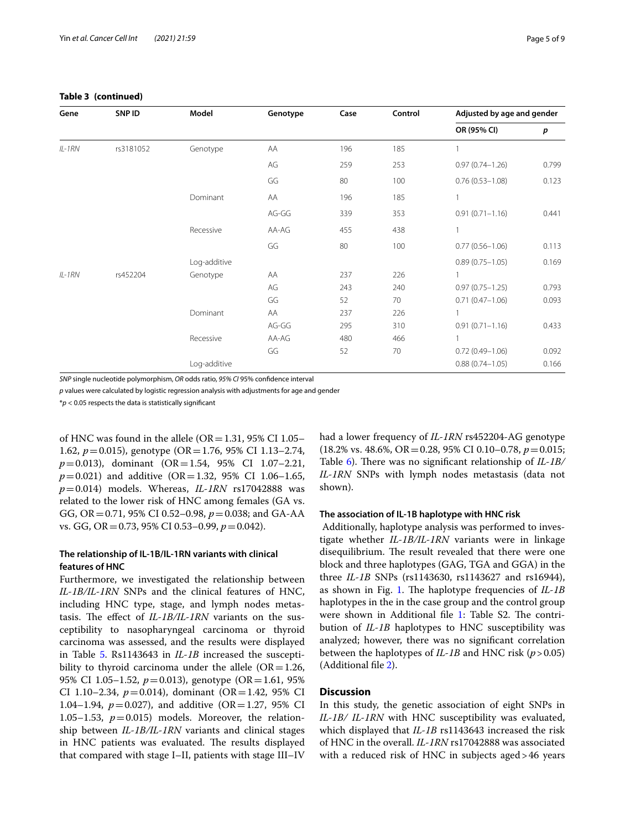## **Table 3 (continued)**

| Gene     | SNP ID    | Model        | Genotype | Case | Control | Adjusted by age and gender |       |  |
|----------|-----------|--------------|----------|------|---------|----------------------------|-------|--|
|          |           |              |          |      |         | OR (95% CI)                | p     |  |
| $IL-1RN$ | rs3181052 | Genotype     | AA       | 196  | 185     |                            |       |  |
|          |           |              | AG       | 259  | 253     | $0.97(0.74 - 1.26)$        | 0.799 |  |
|          |           |              | GG       | 80   | 100     | $0.76(0.53 - 1.08)$        | 0.123 |  |
|          |           | Dominant     | AA       | 196  | 185     | $\mathbf{1}$               |       |  |
|          |           |              | AG-GG    | 339  | 353     | $0.91(0.71 - 1.16)$        | 0.441 |  |
|          |           | Recessive    | AA-AG    | 455  | 438     | $\mathbf{1}$               |       |  |
|          |           |              | GG       | 80   | 100     | $0.77(0.56 - 1.06)$        | 0.113 |  |
|          |           | Log-additive |          |      |         | $0.89(0.75 - 1.05)$        | 0.169 |  |
| $IL-1RN$ | rs452204  | Genotype     | AA       | 237  | 226     |                            |       |  |
|          |           |              | AG       | 243  | 240     | $0.97(0.75 - 1.25)$        | 0.793 |  |
|          |           |              | GG       | 52   | 70      | $0.71(0.47 - 1.06)$        | 0.093 |  |
|          |           | Dominant     | AA       | 237  | 226     | $\mathbf{1}$               |       |  |
|          |           |              | AG-GG    | 295  | 310     | $0.91(0.71 - 1.16)$        | 0.433 |  |
|          |           | Recessive    | AA-AG    | 480  | 466     |                            |       |  |
|          |           |              | GG       | 52   | 70      | $0.72(0.49 - 1.06)$        | 0.092 |  |
|          |           | Log-additive |          |      |         | $0.88(0.74 - 1.05)$        | 0.166 |  |

*SNP* single nucleotide polymorphism, *OR* odds ratio, *95% CI* 95% confdence interval

*p* values were calculated by logistic regression analysis with adjustments for age and gender

\**p* < 0.05 respects the data is statistically signifcant

of HNC was found in the allele ( $OR = 1.31$ , 95% CI 1.05– 1.62, *p*=0.015), genotype (OR=1.76, 95% CI 1.13–2.74, *p*=0.013), dominant (OR=1.54, 95% CI 1.07–2.21,  $p=0.021$ ) and additive (OR=1.32, 95% CI 1.06-1.65, *p*=0.014) models. Whereas, *IL-1RN* rs17042888 was related to the lower risk of HNC among females (GA vs. GG, OR=0.71, 95% CI 0.52–0.98, *p*=0.038; and GA-AA vs. GG, OR=0.73, 95% CI 0.53–0.99, *p*=0.042).

## **The relationship of IL‑1B/IL‑1RN variants with clinical features of HNC**

Furthermore, we investigated the relationship between *IL-1B/IL-1RN* SNPs and the clinical features of HNC, including HNC type, stage, and lymph nodes metastasis. The effect of *IL-1B/IL-1RN* variants on the susceptibility to nasopharyngeal carcinoma or thyroid carcinoma was assessed, and the results were displayed in Table [5.](#page-6-0) Rs1143643 in *IL-1B* increased the susceptibility to thyroid carcinoma under the allele  $(OR=1.26,$ 95% CI 1.05–1.52, *p*=0.013), genotype (OR=1.61, 95% CI 1.10–2.34,  $p=0.014$ ), dominant (OR=1.42, 95% CI 1.04–1.94,  $p = 0.027$ ), and additive (OR=1.27, 95% CI 1.05–1.53,  $p=0.015$ ) models. Moreover, the relationship between *IL-1B/IL-1RN* variants and clinical stages in HNC patients was evaluated. The results displayed that compared with stage I–II, patients with stage III–IV had a lower frequency of *IL-1RN* rs452204-AG genotype (18.2% vs. 48.6%, OR=0.28, 95% CI 0.10–0.78, *p*=0.015; Table [6](#page-6-1)). There was no significant relationship of *IL-1B*/ *IL-1RN* SNPs with lymph nodes metastasis (data not shown).

## **The association of IL‑1B haplotype with HNC risk**

 Additionally, haplotype analysis was performed to investigate whether *IL-1B/IL-1RN* variants were in linkage disequilibrium. The result revealed that there were one block and three haplotypes (GAG, TGA and GGA) in the three *IL-1B* SNPs (rs1143630, rs1143627 and rs16944), as shown in Fig. [1](#page-7-3). The haplotype frequencies of *IL-1B* haplotypes in the in the case group and the control group were shown in Additional file [1](#page-7-2): Table S2. The contribution of *IL-1B* haplotypes to HNC susceptibility was analyzed; however, there was no signifcant correlation between the haplotypes of *IL-1B* and HNC risk (*p*>0.05) (Additional fle [2](#page-7-4)).

## **Discussion**

In this study, the genetic association of eight SNPs in *IL-1B/ IL-1RN* with HNC susceptibility was evaluated, which displayed that *IL-1B* rs1143643 increased the risk of HNC in the overall. *IL-1RN* rs17042888 was associated with a reduced risk of HNC in subjects aged>46 years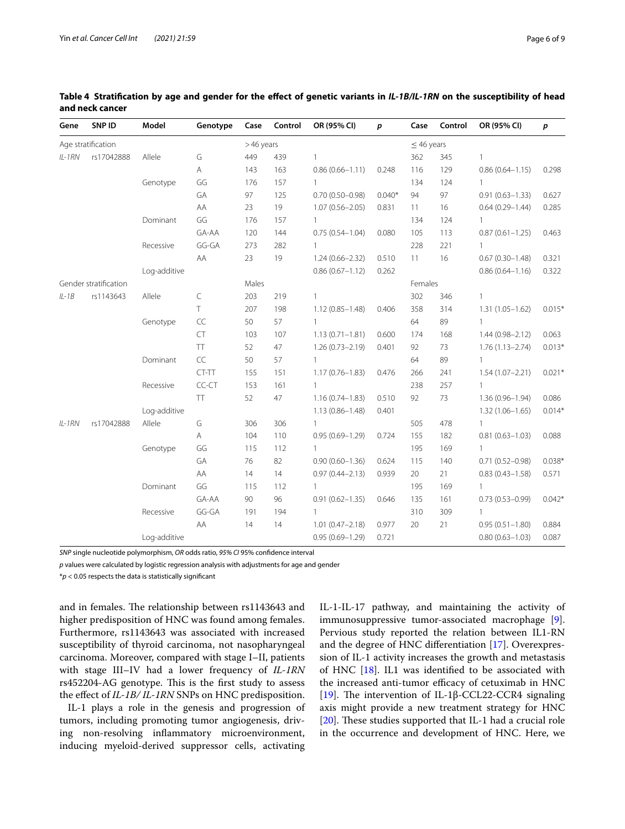| Gene     | SNP ID                | Model        | Genotype          | Case      | Control | OR (95% CI)         | $\boldsymbol{p}$ | Case            | Control | OR (95% CI)         | $\boldsymbol{p}$ |
|----------|-----------------------|--------------|-------------------|-----------|---------|---------------------|------------------|-----------------|---------|---------------------|------------------|
|          | Age stratification    |              |                   | >46 years |         |                     |                  | $\leq$ 46 years |         |                     |                  |
| $IL-1RN$ | rs17042888            | Allele       | G                 | 449       | 439     | 1                   |                  | 362             | 345     | $\mathbf{1}$        |                  |
|          |                       |              | Α                 | 143       | 163     | $0.86(0.66 - 1.11)$ | 0.248            | 116             | 129     | $0.86(0.64 - 1.15)$ | 0.298            |
|          |                       | Genotype     | GG                | 176       | 157     | $\mathbf{1}$        |                  | 134             | 124     | $\mathbf{1}$        |                  |
|          |                       |              | GA                | 97        | 125     | $0.70(0.50 - 0.98)$ | $0.040*$         | 94              | 97      | $0.91(0.63 - 1.33)$ | 0.627            |
|          |                       |              | AA                | 23        | 19      | $1.07(0.56 - 2.05)$ | 0.831            | 11              | 16      | $0.64(0.29 - 1.44)$ | 0.285            |
|          |                       | Dominant     | GG                | 176       | 157     | 1                   |                  | 134             | 124     | $\mathbf{1}$        |                  |
|          |                       |              | GA-AA             | 120       | 144     | $0.75(0.54 - 1.04)$ | 0.080            | 105             | 113     | $0.87(0.61 - 1.25)$ | 0.463            |
|          |                       | Recessive    | GG-GA             | 273       | 282     |                     |                  | 228             | 221     | $\mathbf{1}$        |                  |
|          |                       |              | AA                | 23        | 19      | $1.24(0.66 - 2.32)$ | 0.510            | 11              | 16      | $0.67(0.30 - 1.48)$ | 0.321            |
|          |                       | Log-additive |                   |           |         | $0.86(0.67 - 1.12)$ | 0.262            |                 |         | $0.86(0.64 - 1.16)$ | 0.322            |
|          | Gender stratification |              |                   | Males     |         |                     |                  | Females         |         |                     |                  |
| $IL-1B$  | rs1143643             | Allele       | $\subset$         | 203       | 219     |                     |                  | 302             | 346     | $\mathbf{1}$        |                  |
|          |                       |              | T.                | 207       | 198     | $1.12(0.85 - 1.48)$ | 0.406            | 358             | 314     | $1.31(1.05 - 1.62)$ | $0.015*$         |
|          |                       | Genotype     | $\subset \subset$ | 50        | 57      |                     |                  | 64              | 89      | $\mathbf{1}$        |                  |
|          |                       |              | CT                | 103       | 107     | $1.13(0.71 - 1.81)$ | 0.600            | 174             | 168     | $1.44(0.98 - 2.12)$ | 0.063            |
|          |                       |              | TT                | 52        | 47      | $1.26(0.73 - 2.19)$ | 0.401            | 92              | 73      | $1.76(1.13 - 2.74)$ | $0.013*$         |
|          |                       | Dominant     | CC                | 50        | 57      |                     |                  | 64              | 89      | $\mathbf{1}$        |                  |
|          |                       |              | CT-TT             | 155       | 151     | $1.17(0.76 - 1.83)$ | 0.476            | 266             | 241     | $1.54(1.07 - 2.21)$ | $0.021*$         |
|          |                       | Recessive    | CC-CT             | 153       | 161     |                     |                  | 238             | 257     | $\mathbf{1}$        |                  |
|          |                       |              | <b>TT</b>         | 52        | 47      | $1.16(0.74 - 1.83)$ | 0.510            | 92              | 73      | $1.36(0.96 - 1.94)$ | 0.086            |
|          |                       | Log-additive |                   |           |         | $1.13(0.86 - 1.48)$ | 0.401            |                 |         | $1.32(1.06 - 1.65)$ | $0.014*$         |
| $IL-1RN$ | rs17042888            | Allele       | G                 | 306       | 306     | $\mathbf{1}$        |                  | 505             | 478     | $\mathbf{1}$        |                  |
|          |                       |              | Α                 | 104       | 110     | $0.95(0.69 - 1.29)$ | 0.724            | 155             | 182     | $0.81(0.63 - 1.03)$ | 0.088            |
|          |                       | Genotype     | GG                | 115       | 112     | $\mathbf{1}$        |                  | 195             | 169     | $\mathbf{1}$        |                  |
|          |                       |              | GA                | 76        | 82      | $0.90(0.60 - 1.36)$ | 0.624            | 115             | 140     | $0.71(0.52 - 0.98)$ | $0.038*$         |
|          |                       |              | AA                | 14        | 14      | $0.97(0.44 - 2.13)$ | 0.939            | 20              | 21      | $0.83(0.43 - 1.58)$ | 0.571            |
|          |                       | Dominant     | GG                | 115       | 112     |                     |                  | 195             | 169     | $\mathbf{1}$        |                  |
|          |                       |              | GA-AA             | 90        | 96      | $0.91(0.62 - 1.35)$ | 0.646            | 135             | 161     | $0.73(0.53 - 0.99)$ | $0.042*$         |
|          |                       | Recessive    | GG-GA             | 191       | 194     | $\mathbf{1}$        |                  | 310             | 309     | $\mathbf{1}$        |                  |
|          |                       |              | AA                | 14        | 14      | $1.01(0.47 - 2.18)$ | 0.977            | 20              | 21      | $0.95(0.51 - 1.80)$ | 0.884            |
|          |                       | Log-additive |                   |           |         | $0.95(0.69 - 1.29)$ | 0.721            |                 |         | $0.80(0.63 - 1.03)$ | 0.087            |

<span id="page-5-0"></span>**Table 4 Stratifcation by age and gender for the efect of genetic variants in** *IL-1B/IL-1RN* **on the susceptibility of head and neck cancer**

*SNP* single nucleotide polymorphism, *OR* odds ratio, *95% CI* 95% confdence interval

*p* values were calculated by logistic regression analysis with adjustments for age and gender

\**p* < 0.05 respects the data is statistically signifcant

and in females. The relationship between rs1143643 and higher predisposition of HNC was found among females. Furthermore, rs1143643 was associated with increased susceptibility of thyroid carcinoma, not nasopharyngeal carcinoma. Moreover, compared with stage I–II, patients with stage III–IV had a lower frequency of *IL-1RN* rs452204-AG genotype. This is the first study to assess the efect of *IL-1B/ IL-1RN* SNPs on HNC predisposition.

IL-1 plays a role in the genesis and progression of tumors, including promoting tumor angiogenesis, driving non-resolving infammatory microenvironment, inducing myeloid-derived suppressor cells, activating IL-1-IL-17 pathway, and maintaining the activity of immunosuppressive tumor-associated macrophage [\[9](#page-8-5)]. Pervious study reported the relation between IL1-RN and the degree of HNC diferentiation [[17](#page-8-12)]. Overexpression of IL-1 activity increases the growth and metastasis of HNC [[18](#page-8-13)]. IL1 was identifed to be associated with the increased anti-tumor efficacy of cetuximab in HNC [[19\]](#page-8-14). The intervention of IL-1β-CCL22-CCR4 signaling axis might provide a new treatment strategy for HNC [ $20$ ]. These studies supported that IL-1 had a crucial role in the occurrence and development of HNC. Here, we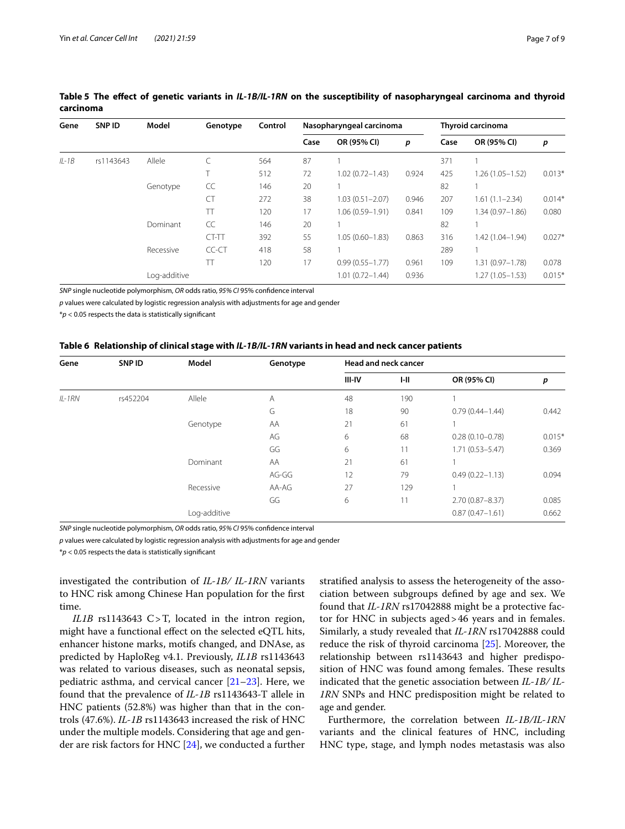| Gene    | <b>SNPID</b> | Model        | Genotype  | Control | Nasopharyngeal carcinoma |                     |       | Thyroid carcinoma |                     |          |
|---------|--------------|--------------|-----------|---------|--------------------------|---------------------|-------|-------------------|---------------------|----------|
|         |              |              |           |         | Case                     | OR (95% CI)         | p     | Case              | OR (95% CI)         | p        |
| $IL-1B$ | rs1143643    | Allele       |           | 564     | 87                       |                     |       | 371               |                     |          |
|         |              |              | T         | 512     | 72                       | $1.02(0.72 - 1.43)$ | 0.924 | 425               | $1.26(1.05 - 1.52)$ | $0.013*$ |
|         |              | Genotype     | CC        | 146     | 20                       |                     |       | 82                |                     |          |
|         |              |              | <b>CT</b> | 272     | 38                       | $1.03(0.51 - 2.07)$ | 0.946 | 207               | $1.61(1.1 - 2.34)$  | $0.014*$ |
|         |              |              | TT        | 120     | 17                       | $1.06(0.59 - 1.91)$ | 0.841 | 109               | $1.34(0.97 - 1.86)$ | 0.080    |
|         |              | Dominant     | CC        | 146     | 20                       |                     |       | 82                |                     |          |
|         |              |              | CT-TT     | 392     | 55                       | $1.05(0.60 - 1.83)$ | 0.863 | 316               | $1.42(1.04 - 1.94)$ | $0.027*$ |
|         |              | Recessive    | CC-CT     | 418     | 58                       |                     |       | 289               |                     |          |
|         |              |              | TT        | 120     | 17                       | $0.99(0.55 - 1.77)$ | 0.961 | 109               | $1.31(0.97 - 1.78)$ | 0.078    |
|         |              | Log-additive |           |         |                          | $1.01(0.72 - 1.44)$ | 0.936 |                   | $1.27(1.05 - 1.53)$ | $0.015*$ |

## <span id="page-6-0"></span>Table 5 The effect of genetic variants in *IL-1B/IL-1RN* on the susceptibility of nasopharyngeal carcinoma and thyroid **carcinoma**

*SNP* single nucleotide polymorphism, *OR* odds ratio, *95% CI* 95% confdence interval

*p* values were calculated by logistic regression analysis with adjustments for age and gender

\**p* < 0.05 respects the data is statistically signifcant

#### <span id="page-6-1"></span>**Table 6 Relationship of clinical stage with** *IL-1B/IL-1RN* **variants in head and neck cancer patients**

| Gene     | SNP ID   | Model        | Genotype | <b>Head and neck cancer</b> |     |                     |          |  |  |
|----------|----------|--------------|----------|-----------------------------|-----|---------------------|----------|--|--|
|          |          |              |          | III-IV                      | H   | OR (95% CI)         | p        |  |  |
| $IL-1RN$ | rs452204 | Allele       | A        | 48                          | 190 |                     |          |  |  |
|          |          |              | G        | 18                          | 90  | $0.79(0.44 - 1.44)$ | 0.442    |  |  |
|          |          | Genotype     | AA       | 21                          | 61  |                     |          |  |  |
|          |          |              | AG       | 6                           | 68  | $0.28(0.10 - 0.78)$ | $0.015*$ |  |  |
|          |          |              | GG       | 6                           | 11  | $1.71(0.53 - 5.47)$ | 0.369    |  |  |
|          |          | Dominant     | AA       | 21                          | 61  |                     |          |  |  |
|          |          |              | AG-GG    | 12                          | 79  | $0.49(0.22 - 1.13)$ | 0.094    |  |  |
|          |          | Recessive    | AA-AG    | 27                          | 129 |                     |          |  |  |
|          |          |              | GG       | 6                           | 11  | $2.70(0.87 - 8.37)$ | 0.085    |  |  |
|          |          | Log-additive |          |                             |     | $0.87(0.47 - 1.61)$ | 0.662    |  |  |

*SNP* single nucleotide polymorphism, *OR* odds ratio, *95% CI* 95% confdence interval

*p* values were calculated by logistic regression analysis with adjustments for age and gender

\**p* < 0.05 respects the data is statistically signifcant

investigated the contribution of *IL-1B/ IL-1RN* variants to HNC risk among Chinese Han population for the frst time.

*IL1B* rs1143643 C>T, located in the intron region, might have a functional efect on the selected eQTL hits, enhancer histone marks, motifs changed, and DNAse, as predicted by HaploReg v4.1. Previously, *IL1B* rs1143643 was related to various diseases, such as neonatal sepsis, pediatric asthma, and cervical cancer  $[21-23]$  $[21-23]$ . Here, we found that the prevalence of *IL-1B* rs1143643-T allele in HNC patients (52.8%) was higher than that in the controls (47.6%). *IL-1B* rs1143643 increased the risk of HNC under the multiple models. Considering that age and gender are risk factors for HNC [\[24](#page-8-18)], we conducted a further stratifed analysis to assess the heterogeneity of the association between subgroups defned by age and sex. We found that *IL-1RN* rs17042888 might be a protective factor for HNC in subjects aged>46 years and in females. Similarly, a study revealed that *IL-1RN* rs17042888 could reduce the risk of thyroid carcinoma [\[25](#page-8-19)]. Moreover, the relationship between rs1143643 and higher predisposition of HNC was found among females. These results indicated that the genetic association between *IL-1B/ IL-1RN* SNPs and HNC predisposition might be related to age and gender.

Furthermore, the correlation between *IL-1B/IL-1RN* variants and the clinical features of HNC, including HNC type, stage, and lymph nodes metastasis was also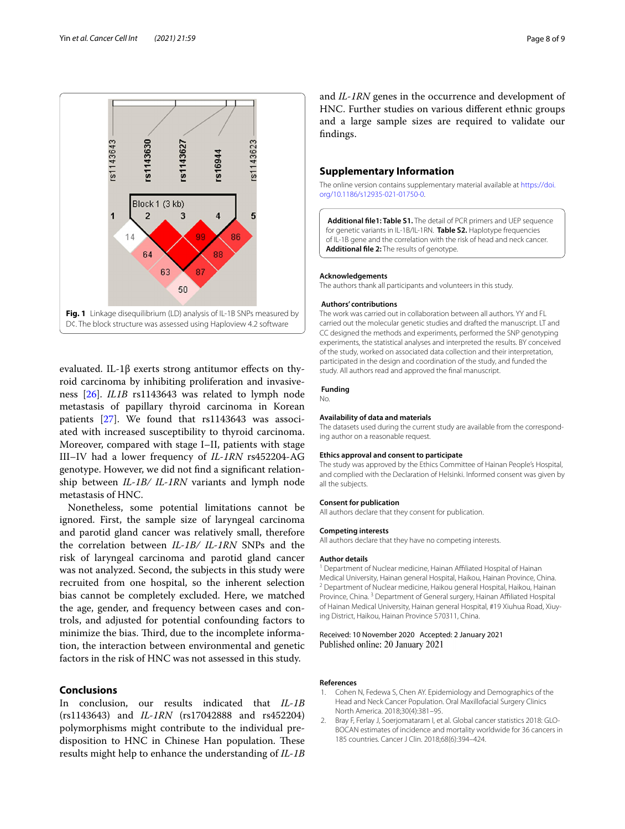

<span id="page-7-3"></span>evaluated. IL-1 $\beta$  exerts strong antitumor effects on thyroid carcinoma by inhibiting proliferation and invasiveness [\[26](#page-8-20)]. *IL1B* rs1143643 was related to lymph node metastasis of papillary thyroid carcinoma in Korean patients [[27](#page-8-21)]. We found that rs1143643 was associated with increased susceptibility to thyroid carcinoma. Moreover, compared with stage I–II, patients with stage III–IV had a lower frequency of *IL-1RN* rs452204-AG genotype. However, we did not fnd a signifcant relationship between *IL-1B/ IL-1RN* variants and lymph node metastasis of HNC.

Nonetheless, some potential limitations cannot be ignored. First, the sample size of laryngeal carcinoma and parotid gland cancer was relatively small, therefore the correlation between *IL-1B/ IL-1RN* SNPs and the risk of laryngeal carcinoma and parotid gland cancer was not analyzed. Second, the subjects in this study were recruited from one hospital, so the inherent selection bias cannot be completely excluded. Here, we matched the age, gender, and frequency between cases and controls, and adjusted for potential confounding factors to minimize the bias. Third, due to the incomplete information, the interaction between environmental and genetic factors in the risk of HNC was not assessed in this study.

## **Conclusions**

In conclusion, our results indicated that *IL-1B* (rs1143643) and *IL-1RN* (rs17042888 and rs452204) polymorphisms might contribute to the individual predisposition to HNC in Chinese Han population. These results might help to enhance the understanding of *IL-1B* and *IL-1RN* genes in the occurrence and development of HNC. Further studies on various diferent ethnic groups and a large sample sizes are required to validate our fndings.

## **Supplementary Information**

The online version contains supplementary material available at [https://doi.](https://doi.org/10.1186/s12935-021-01750-0) [org/10.1186/s12935-021-01750-0](https://doi.org/10.1186/s12935-021-01750-0).

<span id="page-7-4"></span><span id="page-7-2"></span>**Additional fle1: Table S1.** The detail of PCR primers and UEP sequence for genetic variants in IL-1B/IL-1RN. **Table S2.** Haplotype frequencies of IL-1B gene and the correlation with the risk of head and neck cancer. **Additional fle 2:** The results of genotype.

#### **Acknowledgements**

The authors thank all participants and volunteers in this study.

#### **Authors' contributions**

The work was carried out in collaboration between all authors. YY and FL carried out the molecular genetic studies and drafted the manuscript. LT and CC designed the methods and experiments, performed the SNP genotyping experiments, the statistical analyses and interpreted the results. BY conceived of the study, worked on associated data collection and their interpretation, participated in the design and coordination of the study, and funded the study. All authors read and approved the fnal manuscript.

#### **Funding**

No.

#### **Availability of data and materials**

The datasets used during the current study are available from the corresponding author on a reasonable request.

#### **Ethics approval and consent to participate**

The study was approved by the Ethics Committee of Hainan People's Hospital, and complied with the Declaration of Helsinki. Informed consent was given by all the subjects.

#### **Consent for publication**

All authors declare that they consent for publication.

#### **Competing interests**

All authors declare that they have no competing interests.

#### **Author details**

<sup>1</sup> Department of Nuclear medicine, Hainan Affiliated Hospital of Hainan Medical University, Hainan general Hospital, Haikou, Hainan Province, China. <sup>2</sup> Department of Nuclear medicine, Haikou general Hospital, Haikou, Hainan Province, China.<sup>3</sup> Department of General surgery, Hainan Affiliated Hospital of Hainan Medical University, Hainan general Hospital, #19 Xiuhua Road, Xiuying District, Haikou, Hainan Province 570311, China.

## Received: 10 November 2020 Accepted: 2 January 2021

#### **References**

- <span id="page-7-0"></span>1. Cohen N, Fedewa S, Chen AY. Epidemiology and Demographics of the Head and Neck Cancer Population. Oral Maxillofacial Surgery Clinics North America. 2018;30(4):381–95.
- <span id="page-7-1"></span>2. Bray F, Ferlay J, Soerjomataram I, et al. Global cancer statistics 2018: GLO-BOCAN estimates of incidence and mortality worldwide for 36 cancers in 185 countries. Cancer J Clin. 2018;68(6):394–424.